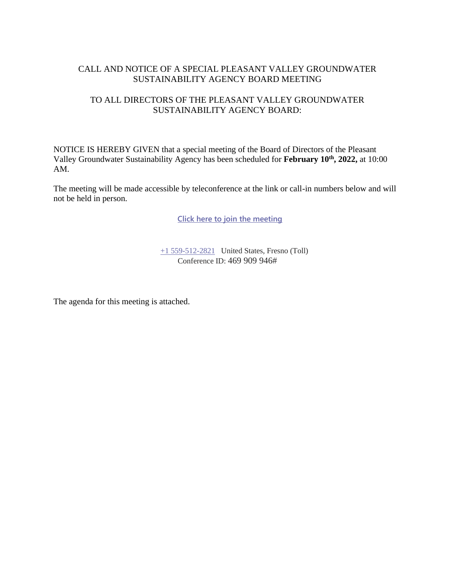## CALL AND NOTICE OF A SPECIAL PLEASANT VALLEY GROUNDWATER SUSTAINABILITY AGENCY BOARD MEETING

### TO ALL DIRECTORS OF THE PLEASANT VALLEY GROUNDWATER SUSTAINABILITY AGENCY BOARD:

NOTICE IS HEREBY GIVEN that a special meeting of the Board of Directors of the Pleasant Valley Groundwater Sustainability Agency has been scheduled for **February 10th, 2022,** at 10:00 AM.

The meeting will be made accessible by teleconference at the link or call-in numbers below and will not be held in person.

**[Click here to join the meeting](https://teams.microsoft.com/l/meetup-join/19%3ameeting_YjEyNmFiMTQtNmQ3ZC00NGRhLTlkNTEtMjM4NmI1NWU0YmRk%40thread.v2/0?context=%7b%22Tid%22%3a%22a6cf659f-2360-4ff9-9e8d-045f48434ada%22%2c%22Oid%22%3a%22d7c07c21-aea1-4965-a48d-46a35d2818b4%22%7d)**

[+1 559-512-2821](tel:+15595122821,,85232084# ) United States, Fresno (Toll) Conference ID: 469 909 946#

The agenda for this meeting is attached.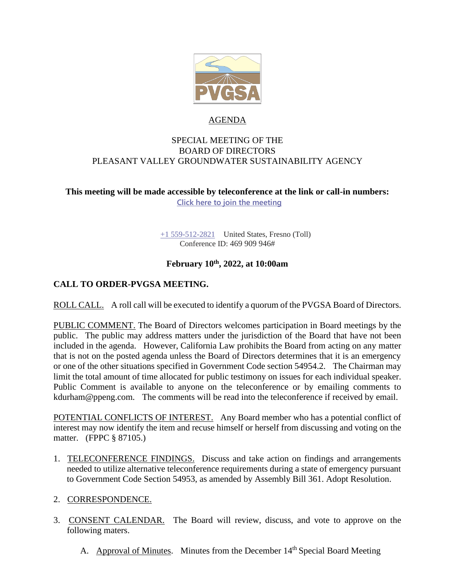

#### AGENDA

#### SPECIAL MEETING OF THE BOARD OF DIRECTORS PLEASANT VALLEY GROUNDWATER SUSTAINABILITY AGENCY

### **This meeting will be made accessible by teleconference at the link or call-in numbers: [Click here to join the meeting](https://teams.microsoft.com/l/meetup-join/19%3ameeting_YjEyNmFiMTQtNmQ3ZC00NGRhLTlkNTEtMjM4NmI1NWU0YmRk%40thread.v2/0?context=%7b%22Tid%22%3a%22a6cf659f-2360-4ff9-9e8d-045f48434ada%22%2c%22Oid%22%3a%22d7c07c21-aea1-4965-a48d-46a35d2818b4%22%7d)**

[+1 559-512-2821](tel:+15595122821,,85232084# ) United States, Fresno (Toll) Conference ID: 469 909 946#

## **February 10th , 2022, at 10:00am**

# **CALL TO ORDER-PVGSA MEETING.**

ROLL CALL. A roll call will be executed to identify a quorum of the PVGSA Board of Directors.

PUBLIC COMMENT. The Board of Directors welcomes participation in Board meetings by the public. The public may address matters under the jurisdiction of the Board that have not been included in the agenda. However, California Law prohibits the Board from acting on any matter that is not on the posted agenda unless the Board of Directors determines that it is an emergency or one of the other situations specified in Government Code section 54954.2. The Chairman may limit the total amount of time allocated for public testimony on issues for each individual speaker. Public Comment is available to anyone on the teleconference or by emailing comments to kdurham@ppeng.com. The comments will be read into the teleconference if received by email.

POTENTIAL CONFLICTS OF INTEREST. Any Board member who has a potential conflict of interest may now identify the item and recuse himself or herself from discussing and voting on the matter. (FPPC § 87105.)

- 1. TELECONFERENCE FINDINGS. Discuss and take action on findings and arrangements needed to utilize alternative teleconference requirements during a state of emergency pursuant to Government Code Section 54953, as amended by Assembly Bill 361. Adopt Resolution.
- 2. CORRESPONDENCE.
- 3. CONSENT CALENDAR. The Board will review, discuss, and vote to approve on the following maters.
	- A. Approval of Minutes. Minutes from the December 14<sup>th</sup> Special Board Meeting